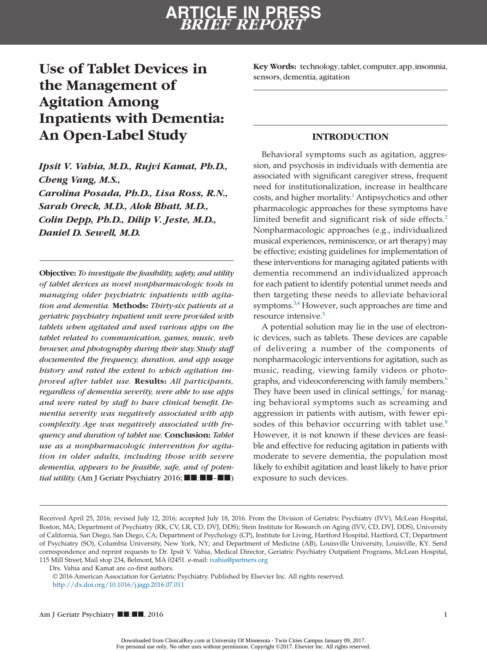### **Use of Tablet Devices in the Management of Agitation Among Inpatients with Dementia: An Open-Label Study**

*Ipsit V. Vahia, M.D., Rujvi Kamat, Ph.D., Cheng Vang, M.S., Carolina Posada, Ph.D., Lisa Ross, R.N., Sarah Oreck, M.D., Alok Bhatt, M.D., Colin Depp, Ph.D., Dilip V. Jeste, M.D., Daniel D. Sewell, M.D.*

**Objective:** *To investigate the feasibility, safety, and utility of tablet devices as novel nonpharmacologic tools in managing older psychiatric inpatients with agitation and dementia.* **Methods:** *Thirty-six patients at a geriatric psychiatry inpatient unit were provided with tablets when agitated and used various apps on the tablet related to communication, games, music, web browser, and photography during their stay. Study staff documented the frequency, duration, and app usage history and rated the extent to which agitation improved after tablet use.* **Results:** *All participants, regardless of dementia severity, were able to use apps and were rated by staff to have clinical benefit. Dementia severity was negatively associated with app complexity. Age was negatively associated with frequency and duration of tablet use.* **Conclusion:** *Tablet use as a nonpharmacologic intervention for agitation in older adults, including those with severe dementia, appears to be feasible, safe, and of potential utility.* (Am J Geriatr Psychiatry 2016;■■:■■–■■) **Key Words:** technology, tablet, computer, app, insomnia, sensors, dementia, agitation

#### **INTRODUCTION**

Behavioral symptoms such as agitation, aggression, and psychosis in individuals with dementia are associated with significant caregiver stress, frequent need for institutionalization, increase in healthcare costs, and higher mortality.<sup>1</sup> Antipsychotics and other pharmacologic approaches for these symptoms have limited benefit and significant risk of side effects.<sup>2</sup> Nonpharmacologic approaches (e.g., individualized musical experiences, reminiscence, or art therapy) may be effective; existing guidelines for implementation of these interventions for managing agitated patients with dementia recommend an individualized approach for each patient to identify potential unmet needs and then targeting these needs to alleviate behavioral symptoms.<sup>3,4</sup> However, such approaches are time and resource intensive.<sup>5</sup>

A potential solution may lie in the use of electronic devices, such as tablets. These devices are capable of delivering a number of the components of nonpharmacologic interventions for agitation, such as music, reading, viewing family videos or photographs, and videoconferencing with family members.<sup>6</sup> They have been used in clinical settings, $\frac{7}{7}$  for managing behavioral symptoms such as screaming and aggression in patients with autism, with fewer episodes of this behavior occurring with tablet use.<sup>8</sup> However, it is not known if these devices are feasible and effective for reducing agitation in patients with moderate to severe dementia, the population most likely to exhibit agitation and least likely to have prior exposure to such devices.

© 2016 American Association for Geriatric Psychiatry. Published by Elsevier Inc. All rights reserved. <http://dx.doi.org/10.1016/j.jagp.2016.07.011>

Received April 25, 2016; revised July 12, 2016; accepted July 18, 2016. From the Division of Geriatric Psychiatry (IVV), McLean Hospital, Boston, MA; Department of Psychiatry (RK, CV, LR, CD, DVJ, DDS); Stein Institute for Research on Aging (IVV, CD, DVJ, DDS), University of California, San Diego, San Diego, CA; Department of Psychology (CP), Institute for Living, Hartford Hospital, Hartford, CT; Department of Psychiatry (SO), Columbia University, New York, NY; and Department of Medicine (AB), Louisville University, Louisville, KY. Send correspondence and reprint requests to Dr. Ipsit V. Vahia, Medical Director, Geriatric Psychiatry Outpatient Programs, McLean Hospital, 115 Mill Street, Mail stop 234, Belmont, MA 02451. e-mail: [ivahia@partners.org](mailto:ivahia@partners.org)

Drs. Vahia and Kamat are co-first authors.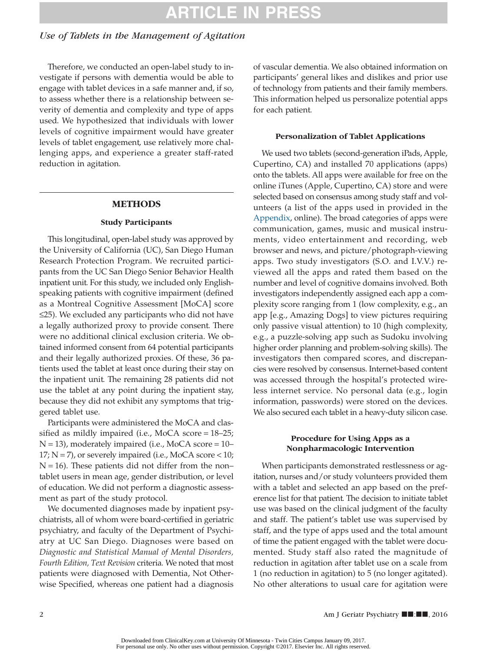# **ARTICLE IN PRESS**

### *Use of Tablets in the Management of Agitation*

Therefore, we conducted an open-label study to investigate if persons with dementia would be able to engage with tablet devices in a safe manner and, if so, to assess whether there is a relationship between severity of dementia and complexity and type of apps used. We hypothesized that individuals with lower levels of cognitive impairment would have greater levels of tablet engagement, use relatively more challenging apps, and experience a greater staff-rated reduction in agitation.

#### **METHODS**

#### **Study Participants**

This longitudinal, open-label study was approved by the University of California (UC), San Diego Human Research Protection Program. We recruited participants from the UC San Diego Senior Behavior Health inpatient unit. For this study, we included only Englishspeaking patients with cognitive impairment (defined as a Montreal Cognitive Assessment [MoCA] score ≤25). We excluded any participants who did not have a legally authorized proxy to provide consent. There were no additional clinical exclusion criteria. We obtained informed consent from 64 potential participants and their legally authorized proxies. Of these, 36 patients used the tablet at least once during their stay on the inpatient unit. The remaining 28 patients did not use the tablet at any point during the inpatient stay, because they did not exhibit any symptoms that triggered tablet use.

Participants were administered the MoCA and classified as mildly impaired (i.e., MoCA score = 18–25;  $N = 13$ ), moderately impaired (i.e., MoCA score = 10–  $17; N = 7$ ), or severely impaired (i.e., MoCA score < 10;  $N = 16$ ). These patients did not differ from the non– tablet users in mean age, gender distribution, or level of education. We did not perform a diagnostic assessment as part of the study protocol.

We documented diagnoses made by inpatient psychiatrists, all of whom were board-certified in geriatric psychiatry, and faculty of the Department of Psychiatry at UC San Diego. Diagnoses were based on *Diagnostic and Statistical Manual of Mental Disorders, Fourth Edition, Text Revision* criteria*.* We noted that most patients were diagnosed with Dementia, Not Otherwise Specified, whereas one patient had a diagnosis of vascular dementia. We also obtained information on participants' general likes and dislikes and prior use of technology from patients and their family members. This information helped us personalize potential apps for each patient.

#### **Personalization of Tablet Applications**

We used two tablets (second-generation iPads, Apple, Cupertino, CA) and installed 70 applications (apps) onto the tablets. All apps were available for free on the online iTunes (Apple, Cupertino, CA) store and were selected based on consensus among study staff and volunteers (a list of the apps used in provided in the Appendix, online). The broad categories of apps were communication, games, music and musical instruments, video entertainment and recording, web browser and news, and picture/photograph-viewing apps. Two study investigators (S.O. and I.V.V.) reviewed all the apps and rated them based on the number and level of cognitive domains involved. Both investigators independently assigned each app a complexity score ranging from 1 (low complexity, e.g., an app [e.g., Amazing Dogs] to view pictures requiring only passive visual attention) to 10 (high complexity, e.g., a puzzle-solving app such as Sudoku involving higher order planning and problem-solving skills). The investigators then compared scores, and discrepancies were resolved by consensus. Internet-based content was accessed through the hospital's protected wireless internet service. No personal data (e.g., login information, passwords) were stored on the devices. We also secured each tablet in a heavy-duty silicon case.

#### **Procedure for Using Apps as a Nonpharmacologic Intervention**

When participants demonstrated restlessness or agitation, nurses and/or study volunteers provided them with a tablet and selected an app based on the preference list for that patient. The decision to initiate tablet use was based on the clinical judgment of the faculty and staff. The patient's tablet use was supervised by staff, and the type of apps used and the total amount of time the patient engaged with the tablet were documented. Study staff also rated the magnitude of reduction in agitation after tablet use on a scale from 1 (no reduction in agitation) to 5 (no longer agitated). No other alterations to usual care for agitation were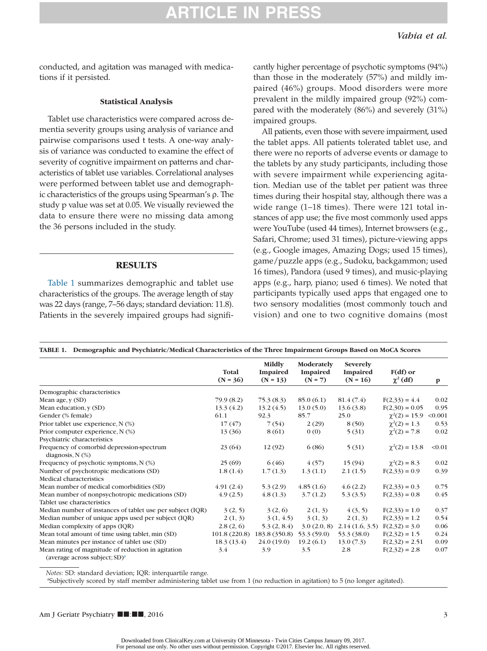### **ARTICLE IN PRES**

conducted, and agitation was managed with medications if it persisted.

#### **Statistical Analysis**

Tablet use characteristics were compared across dementia severity groups using analysis of variance and pairwise comparisons used t tests. A one-way analysis of variance was conducted to examine the effect of severity of cognitive impairment on patterns and characteristics of tablet use variables. Correlational analyses were performed between tablet use and demographic characteristics of the groups using Spearman's ρ. The study p value was set at 0.05. We visually reviewed the data to ensure there were no missing data among the 36 persons included in the study.

#### **RESULTS**

Table 1 summarizes demographic and tablet use characteristics of the groups. The average length of stay was 22 days (range, 7–56 days; standard deviation: 11.8). Patients in the severely impaired groups had significantly higher percentage of psychotic symptoms (94%) than those in the moderately (57%) and mildly impaired (46%) groups. Mood disorders were more prevalent in the mildly impaired group (92%) compared with the moderately (86%) and severely (31%) impaired groups.

All patients, even those with severe impairment, used the tablet apps. All patients tolerated tablet use, and there were no reports of adverse events or damage to the tablets by any study participants, including those with severe impairment while experiencing agitation. Median use of the tablet per patient was three times during their hospital stay, although there was a wide range (1–18 times). There were 121 total instances of app use; the five most commonly used apps were YouTube (used 44 times), Internet browsers (e.g., Safari, Chrome; used 31 times), picture-viewing apps (e.g., Google images, Amazing Dogs; used 15 times), game/puzzle apps (e.g., Sudoku, backgammon; used 16 times), Pandora (used 9 times), and music-playing apps (e.g., harp, piano; used 6 times). We noted that participants typically used apps that engaged one to two sensory modalities (most commonly touch and vision) and one to two cognitive domains (most

|                                                                                                    | Total<br>$(N = 36)$ | Mildly<br>Impaired<br>$(N = 13)$ | Moderately<br>Impaired<br>$(N = 7)$ | <b>Severely</b><br>Impaired<br>$(N = 16)$ | $F(df)$ or<br>$\chi^2$ (df) | $\mathbf{p}$ |
|----------------------------------------------------------------------------------------------------|---------------------|----------------------------------|-------------------------------------|-------------------------------------------|-----------------------------|--------------|
|                                                                                                    |                     |                                  |                                     |                                           |                             |              |
| Demographic characteristics                                                                        |                     |                                  |                                     |                                           |                             |              |
| Mean age, y (SD)                                                                                   | 79.9 (8.2)          | 75.3(8.3)                        | 85.0(6.1)                           | 81.4(7.4)                                 | $F(2,33) = 4.4$             | 0.02         |
| Mean education, y (SD)                                                                             | 13.3(4.2)           | 13.2(4.5)                        | 13.0(5.0)                           | 13.6(3.8)                                 | $F(2,30) = 0.05$            | 0.95         |
| Gender (% female)                                                                                  | 61.1                | 92.3                             | 85.7                                | 25.0                                      | $\chi^2(2) = 15.9$          | < 0.001      |
| Prior tablet use experience, N (%)                                                                 | 17(47)              | 7(54)                            | 2(29)                               | 8(50)                                     | $\chi^2(2) = 1.3$           | 0.53         |
| Prior computer experience, N (%)                                                                   | 13 (36)             | 8 (61)                           | 0(0)                                | 5(31)                                     | $\chi^2(2) = 7.8$           | 0.02         |
| Psychiatric characteristics                                                                        |                     |                                  |                                     |                                           |                             |              |
| Frequency of comorbid depression-spectrum<br>diagnosis, $N$ $(\%)$                                 | 23 (64)             | 12(92)                           | 6(86)                               | 5(31)                                     | $\chi^2(2) = 13.8$          | < 0.01       |
| Frequency of psychotic symptoms, $N$ (%)                                                           | 25(69)              | 6(46)                            | 4(57)                               | 15(94)                                    | $\chi^2(2) = 8.3$           | 0.02         |
| Number of psychotropic medications (SD)                                                            | 1.8(1.4)            | 1.7(1.3)                         | 1.3(1.1)                            | 2.1(1.5)                                  | $F(2,33) = 0.9$             | 0.39         |
| Medical characteristics                                                                            |                     |                                  |                                     |                                           |                             |              |
| Mean number of medical comorbidities (SD)                                                          | 4.91(2.4)           | 5.3(2.9)                         | 4.85(1.6)                           | 4.6(2.2)                                  | $F(2,33) = 0.3$             | 0.75         |
| Mean number of nonpsychotropic medications (SD)                                                    | 4.9(2.5)            | 4.8(1.3)                         | 3.7(1.2)                            | 5.3(3.5)                                  | $F(2,33) = 0.8$             | 0.45         |
| Tablet use characteristics                                                                         |                     |                                  |                                     |                                           |                             |              |
| Median number of instances of tablet use per subject (IQR)                                         | 3(2, 5)             | 3(2, 6)                          | 2(1, 3)                             | 4(3, 5)                                   | $F(2,33) = 1.0$             | 0.37         |
| Median number of unique apps used per subject (IQR)                                                | 2(1, 3)             | 3(1, 4.5)                        | 3(1, 3)                             | 2(1, 3)                                   | $F(2,33) = 1.2$             | 0.54         |
| Median complexity of apps (IQR)                                                                    | 2.8(2, 6)           | 5.3(2, 8.4)                      | 3.0(2.0, 8)                         | 2.14(1.6, 3.5)                            | $F(2,32) = 3.0$             | 0.06         |
| Mean total amount of time using tablet, min (SD)                                                   | 101.8(220.8)        | 183.8 (350.8)                    | 53.3(59.0)                          | 53.3 (38.0)                               | $F(2,32) = 1.5$             | 0.24         |
| Mean minutes per instance of tablet use (SD)                                                       | 18.3(13.4)          | 24.0(19.0)                       | 19.2(6.1)                           | 13.0(7.3)                                 | $F(2,32) = 2.51$            | 0.09         |
| Mean rating of magnitude of reduction in agitation<br>(average across subject; $SD$ ) <sup>a</sup> | 3.4                 | 3.9                              | 3.5                                 | 2.8                                       | $F(2,32) = 2.8$             | 0.07         |

<span id="page-2-0"></span>*Notes:* SD: standard deviation; IQR: interquartile range.

a Subjectively scored by staff member administering tablet use from 1 (no reduction in agitation) to 5 (no longer agitated).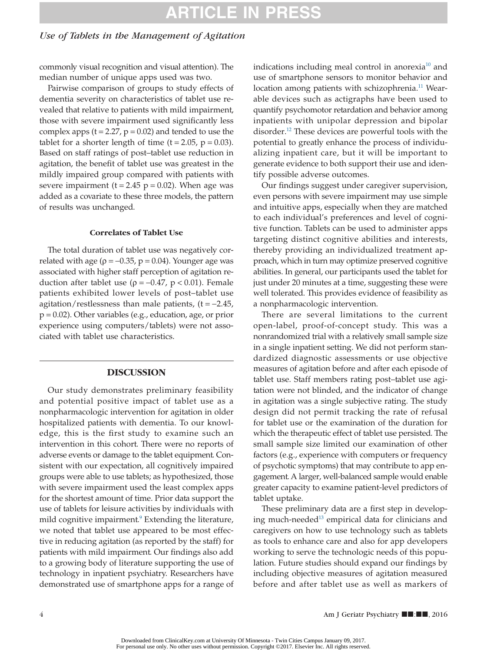# **ARTICLE IN PRESS**

#### *Use of Tablets in the Management of Agitation*

commonly visual recognition and visual attention). The median number of unique apps used was two.

Pairwise comparison of groups to study effects of dementia severity on characteristics of tablet use revealed that relative to patients with mild impairment, those with severe impairment used significantly less complex apps  $(t = 2.27, p = 0.02)$  and tended to use the tablet for a shorter length of time  $(t = 2.05, p = 0.03)$ . Based on staff ratings of post–tablet use reduction in agitation, the benefit of tablet use was greatest in the mildly impaired group compared with patients with severe impairment ( $t = 2.45$  p = 0.02). When age was added as a covariate to these three models, the pattern of results was unchanged.

#### **Correlates of Tablet Use**

The total duration of tablet use was negatively correlated with age ( $\rho = -0.35$ ,  $p = 0.04$ ). Younger age was associated with higher staff perception of agitation reduction after tablet use (ρ=−0.47, p < 0.01). Female patients exhibited lower levels of post–tablet use agitation/restlessness than male patients,  $(t = -2.45$ ,  $p = 0.02$ ). Other variables (e.g., education, age, or prior experience using computers/tablets) were not associated with tablet use characteristics.

#### **DISCUSSION**

Our study demonstrates preliminary feasibility and potential positive impact of tablet use as a nonpharmacologic intervention for agitation in older hospitalized patients with dementia. To our knowledge, this is the first study to examine such an intervention in this cohort. There were no reports of adverse events or damage to the tablet equipment. Consistent with our expectation, all cognitively impaired groups were able to use tablets; as hypothesized, those with severe impairment used the least complex apps for the shortest amount of time. Prior data support the use of tablets for leisure activities by individuals with mild cognitive impairment.<sup>9</sup> Extending the literature, we noted that tablet use appeared to be most effective in reducing agitation (as reported by the staff) for patients with mild impairment. Our findings also add to a growing body of literature supporting the use of technology in inpatient psychiatry. Researchers have demonstrated use of smartphone apps for a range of indications including meal control in anorexia $10$  and use of smartphone sensors to monitor behavior and location among patients with schizophrenia.<sup>11</sup> Wearable devices such as actigraphs have been used to quantify psychomotor retardation and behavior among inpatients with unipolar depression and bipolar disorder[.12](#page-4-10) These devices are powerful tools with the potential to greatly enhance the process of individualizing inpatient care, but it will be important to generate evidence to both support their use and identify possible adverse outcomes.

Our findings suggest under caregiver supervision, even persons with severe impairment may use simple and intuitive apps, especially when they are matched to each individual's preferences and level of cognitive function. Tablets can be used to administer apps targeting distinct cognitive abilities and interests, thereby providing an individualized treatment approach, which in turn may optimize preserved cognitive abilities. In general, our participants used the tablet for just under 20 minutes at a time, suggesting these were well tolerated. This provides evidence of feasibility as a nonpharmacologic intervention.

There are several limitations to the current open-label, proof-of-concept study. This was a nonrandomized trial with a relatively small sample size in a single inpatient setting. We did not perform standardized diagnostic assessments or use objective measures of agitation before and after each episode of tablet use. Staff members rating post–tablet use agitation were not blinded, and the indicator of change in agitation was a single subjective rating. The study design did not permit tracking the rate of refusal for tablet use or the examination of the duration for which the therapeutic effect of tablet use persisted. The small sample size limited our examination of other factors (e.g., experience with computers or frequency of psychotic symptoms) that may contribute to app engagement. A larger, well-balanced sample would enable greater capacity to examine patient-level predictors of tablet uptake.

These preliminary data are a first step in developing much-needed<sup>13</sup> empirical data for clinicians and caregivers on how to use technology such as tablets as tools to enhance care and also for app developers working to serve the technologic needs of this population. Future studies should expand our findings by including objective measures of agitation measured before and after tablet use as well as markers of